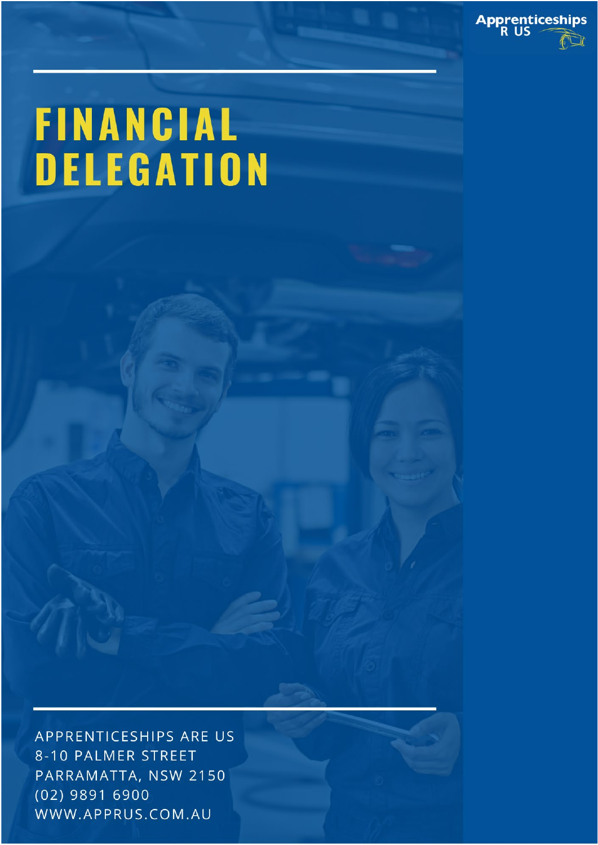

# **FINANCIAL<br>DELEGATION**

APPRENTICESHIPS ARE US 8-10 PALMER STREET PARRAMATTA, NSW 2150  $(02)$  9891 6900 WWW.APPRUS.COM.AU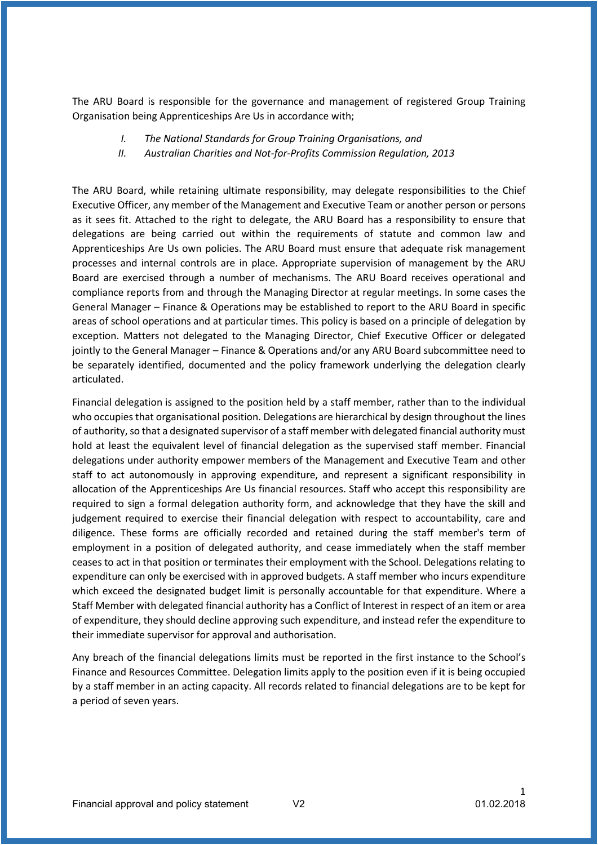The ARU Board is responsible for the governance and management of registered Group Training Organisation being Apprenticeships Are Us in accordance with;

- *I. The National Standards for Group Training Organisations, and*
- *II. Australian Charities and Not-for-Profits Commission Regulation, 2013*

The ARU Board, while retaining ultimate responsibility, may delegate responsibilities to the Chief Executive Officer, any member of the Management and Executive Team or another person or persons as it sees fit. Attached to the right to delegate, the ARU Board has a responsibility to ensure that delegations are being carried out within the requirements of statute and common law and Apprenticeships Are Us own policies. The ARU Board must ensure that adequate risk management processes and internal controls are in place. Appropriate supervision of management by the ARU Board are exercised through a number of mechanisms. The ARU Board receives operational and compliance reports from and through the Managing Director at regular meetings. In some cases the General Manager – Finance & Operations may be established to report to the ARU Board in specific areas of school operations and at particular times. This policy is based on a principle of delegation by exception. Matters not delegated to the Managing Director, Chief Executive Officer or delegated jointly to the General Manager – Finance & Operations and/or any ARU Board subcommittee need to be separately identified, documented and the policy framework underlying the delegation clearly articulated.

Financial delegation is assigned to the position held by a staff member, rather than to the individual who occupies that organisational position. Delegations are hierarchical by design throughout the lines of authority, so that a designated supervisor of a staff member with delegated financial authority must hold at least the equivalent level of financial delegation as the supervised staff member. Financial delegations under authority empower members of the Management and Executive Team and other staff to act autonomously in approving expenditure, and represent a significant responsibility in allocation of the Apprenticeships Are Us financial resources. Staff who accept this responsibility are required to sign a formal delegation authority form, and acknowledge that they have the skill and judgement required to exercise their financial delegation with respect to accountability, care and diligence. These forms are officially recorded and retained during the staff member's term of employment in a position of delegated authority, and cease immediately when the staff member ceases to act in that position or terminates their employment with the School. Delegations relating to expenditure can only be exercised with in approved budgets. A staff member who incurs expenditure which exceed the designated budget limit is personally accountable for that expenditure. Where a Staff Member with delegated financial authority has a Conflict of Interest in respect of an item or area of expenditure, they should decline approving such expenditure, and instead refer the expenditure to their immediate supervisor for approval and authorisation.

Any breach of the financial delegations limits must be reported in the first instance to the School's Finance and Resources Committee. Delegation limits apply to the position even if it is being occupied by a staff member in an acting capacity. All records related to financial delegations are to be kept for a period of seven years.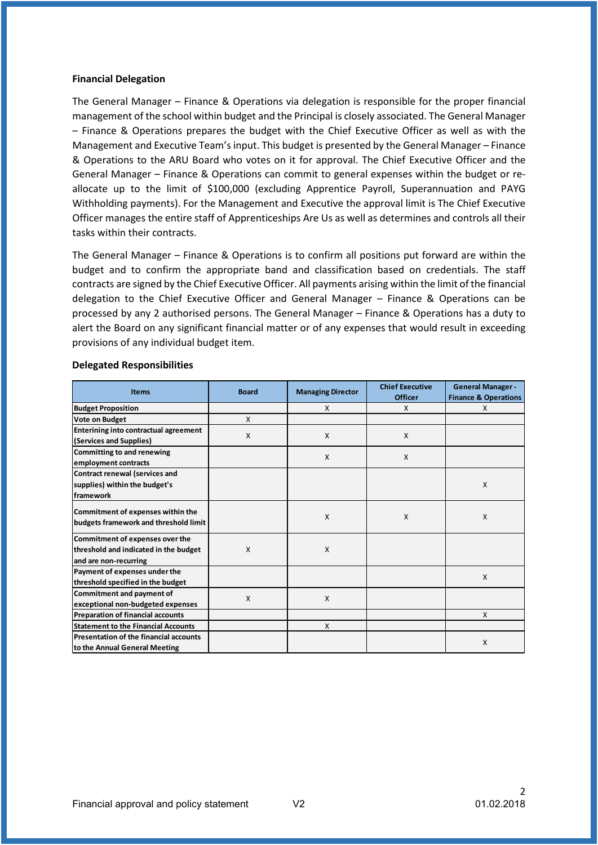## **Financial Delegation**

The General Manager – Finance & Operations via delegation is responsible for the proper financial management of the school within budget and the Principal is closely associated. The General Manager – Finance & Operations prepares the budget with the Chief Executive Officer as well as with the Management and Executive Team's input. This budget is presented by the General Manager – Finance & Operations to the ARU Board who votes on it for approval. The Chief Executive Officer and the General Manager – Finance & Operations can commit to general expenses within the budget or reallocate up to the limit of \$100,000 (excluding Apprentice Payroll, Superannuation and PAYG Withholding payments). For the Management and Executive the approval limit is The Chief Executive Officer manages the entire staff of Apprenticeships Are Us as well as determines and controls all their tasks within their contracts.

The General Manager – Finance & Operations is to confirm all positions put forward are within the budget and to confirm the appropriate band and classification based on credentials. The staff contracts are signed by the Chief Executive Officer. All payments arising within the limit of the financial delegation to the Chief Executive Officer and General Manager – Finance & Operations can be processed by any 2 authorised persons. The General Manager – Finance & Operations has a duty to alert the Board on any significant financial matter or of any expenses that would result in exceeding provisions of any individual budget item.

| <b>Items</b>                                  | <b>Board</b> | <b>Managing Director</b> | <b>Chief Executive</b> | <b>General Manager -</b>        |
|-----------------------------------------------|--------------|--------------------------|------------------------|---------------------------------|
|                                               |              |                          | <b>Officer</b>         | <b>Finance &amp; Operations</b> |
| <b>Budget Proposition</b>                     |              | X                        | X                      | X                               |
| <b>Vote on Budget</b>                         | X            |                          |                        |                                 |
| Enterining into contractual agreement         | X            | X                        | X                      |                                 |
| (Services and Supplies)                       |              |                          |                        |                                 |
| Committing to and renewing                    |              | X                        | X                      |                                 |
| employment contracts                          |              |                          |                        |                                 |
| <b>Contract renewal (services and</b>         |              |                          |                        |                                 |
| supplies) within the budget's                 |              |                          |                        | X                               |
| framework                                     |              |                          |                        |                                 |
| Commitment of expenses within the             |              |                          |                        |                                 |
| budgets framework and threshold limit         |              | X                        | X                      | X                               |
|                                               |              |                          |                        |                                 |
| Commitment of expenses over the               |              |                          |                        |                                 |
| threshold and indicated in the budget         | X            | X                        |                        |                                 |
| and are non-recurring                         |              |                          |                        |                                 |
| Payment of expenses under the                 |              |                          |                        | X                               |
| threshold specified in the budget             |              |                          |                        |                                 |
| Commitment and payment of                     | X            | X                        |                        |                                 |
| exceptional non-budgeted expenses             |              |                          |                        |                                 |
| <b>Preparation of financial accounts</b>      |              |                          |                        | X                               |
| <b>Statement to the Financial Accounts</b>    |              | X                        |                        |                                 |
| <b>Presentation of the financial accounts</b> |              |                          |                        | X                               |
| to the Annual General Meeting                 |              |                          |                        |                                 |

### **Delegated Responsibilities**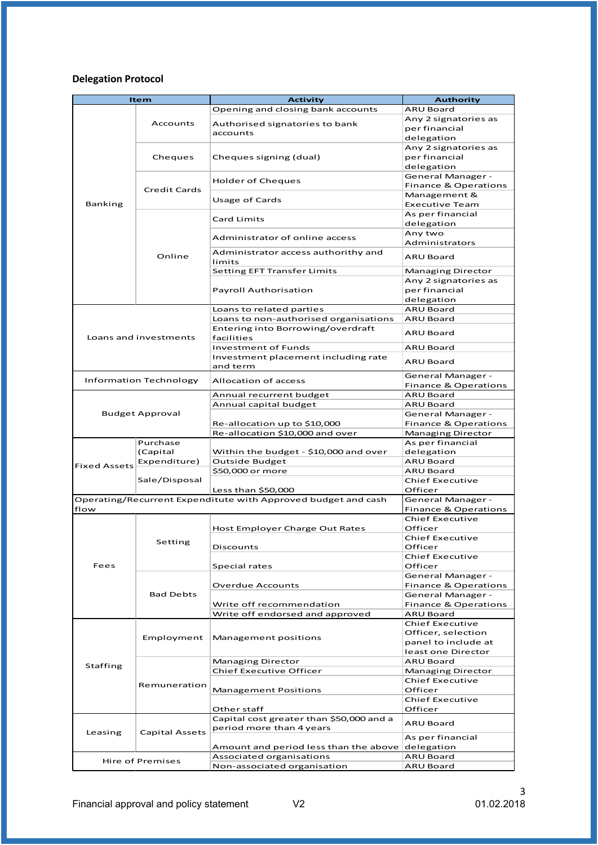# **Delegation Protocol**

| <b>Item</b>         |                               | <b>Activity</b>                                               | <b>Authority</b>                                     |
|---------------------|-------------------------------|---------------------------------------------------------------|------------------------------------------------------|
|                     |                               | Opening and closing bank accounts                             | <b>ARU Board</b>                                     |
|                     | Accounts                      | Authorised signatories to bank                                | Any 2 signatories as                                 |
|                     |                               | accounts                                                      | per financial                                        |
|                     |                               |                                                               | delegation                                           |
|                     |                               |                                                               | Any 2 signatories as                                 |
|                     | Cheques                       | Cheques signing (dual)                                        | per financial                                        |
|                     |                               |                                                               | delegation                                           |
|                     |                               | Holder of Cheques                                             | General Manager -                                    |
|                     | <b>Credit Cards</b>           |                                                               | Finance & Operations                                 |
|                     |                               | Usage of Cards                                                | Management &                                         |
| Banking             |                               |                                                               | <b>Executive Team</b>                                |
|                     | Online                        | <b>Card Limits</b>                                            | As per financial<br>delegation                       |
|                     |                               |                                                               | Any two                                              |
|                     |                               | Administrator of online access                                | Administrators                                       |
|                     |                               | Administrator access authorithy and                           |                                                      |
|                     |                               | limits                                                        | <b>ARU Board</b>                                     |
|                     |                               | Setting EFT Transfer Limits                                   | Managing Director                                    |
|                     |                               |                                                               | Any 2 signatories as                                 |
|                     |                               | <b>Payroll Authorisation</b>                                  | per financial                                        |
|                     |                               |                                                               | delegation                                           |
|                     |                               | Loans to related parties                                      | <b>ARU Board</b>                                     |
|                     |                               | Loans to non-authorised organisations                         | <b>ARU Board</b>                                     |
|                     |                               | Entering into Borrowing/overdraft                             | <b>ARU Board</b>                                     |
|                     | Loans and investments         | facilities                                                    |                                                      |
|                     |                               | Investment of Funds                                           | <b>ARU Board</b>                                     |
|                     |                               | Investment placement including rate                           | <b>ARU Board</b>                                     |
|                     |                               | and term                                                      |                                                      |
|                     | <b>Information Technology</b> | <b>Allocation of access</b>                                   | General Manager -                                    |
|                     |                               |                                                               | Finance & Operations                                 |
|                     |                               | Annual recurrent budget                                       | ARU Board                                            |
|                     | <b>Budget Approval</b>        | Annual capital budget                                         | ARU Board                                            |
|                     |                               | Re-allocation up to \$10,000                                  | General Manager -<br>Finance & Operations            |
|                     |                               | Re-allocation \$10,000 and over                               | Managing Director                                    |
|                     | Purchase                      |                                                               | As per financial                                     |
|                     | (Capital                      | Within the budget - \$10,000 and over                         | delegation                                           |
|                     | Expenditure)                  | Outside Budget                                                | ARU Board                                            |
| <b>Fixed Assets</b> | Sale/Disposal                 | \$50,000 or more                                              | ARU Board                                            |
|                     |                               |                                                               | <b>Chief Executive</b>                               |
|                     |                               | Less than \$50,000                                            | Officer                                              |
|                     |                               | Operating/Recurrent Expenditute with Approved budget and cash | General Manager -                                    |
| flow                |                               |                                                               | Finance & Operations                                 |
|                     | Setting                       |                                                               | <b>Chief Executive</b>                               |
|                     |                               | Host Employer Charge Out Rates                                | Officer                                              |
|                     |                               |                                                               | <b>Chief Executive</b>                               |
|                     |                               | Discounts                                                     | Officer                                              |
|                     |                               |                                                               | <b>Chief Executive</b>                               |
| Fees                |                               | Special rates                                                 | Officer                                              |
|                     | <b>Bad Debts</b>              | <b>Overdue Accounts</b>                                       | General Manager -<br><b>Finance &amp; Operations</b> |
|                     |                               |                                                               | General Manager -                                    |
|                     |                               | Write off recommendation                                      | Finance & Operations                                 |
|                     |                               | Write off endorsed and approved                               | ARU Board                                            |
|                     |                               |                                                               | <b>Chief Executive</b>                               |
|                     |                               |                                                               | Officer, selection                                   |
|                     | Employment                    | Management positions                                          | panel to include at                                  |
|                     |                               |                                                               | least one Director                                   |
|                     | Remuneration                  | Managing Director                                             | ARU Board                                            |
| Staffing            |                               | <b>Chief Executive Officer</b>                                | Managing Director                                    |
|                     |                               |                                                               | Chief Executive                                      |
|                     |                               | <b>Management Positions</b>                                   | Officer                                              |
|                     |                               |                                                               | <b>Chief Executive</b>                               |
|                     |                               | Other staff                                                   | Officer                                              |
|                     |                               | Capital cost greater than \$50,000 and a                      | ARU Board                                            |
| Leasing             | <b>Capital Assets</b>         | period more than 4 years                                      |                                                      |
|                     |                               |                                                               | As per financial                                     |
|                     |                               | Amount and period less than the above                         | delegation                                           |
|                     | Hire of Premises              | Associated organisations                                      | <b>ARU Board</b>                                     |
|                     |                               | Non-associated organisation                                   | ARU Board                                            |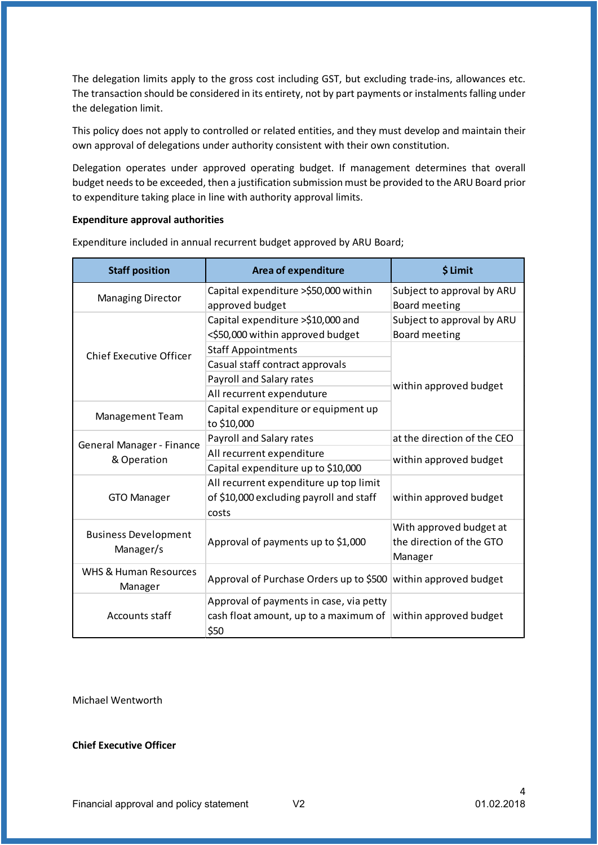The delegation limits apply to the gross cost including GST, but excluding trade-ins, allowances etc. The transaction should be considered in its entirety, not by part payments or instalments falling under the delegation limit.

This policy does not apply to controlled or related entities, and they must develop and maintain their own approval of delegations under authority consistent with their own constitution.

Delegation operates under approved operating budget. If management determines that overall budget needs to be exceeded, then a justification submission must be provided to the ARU Board prior to expenditure taking place in line with authority approval limits.

# **Expenditure approval authorities**

| <b>Staff position</b>                    | <b>Area of expenditure</b>                    | \$ Limit                                            |  |
|------------------------------------------|-----------------------------------------------|-----------------------------------------------------|--|
| <b>Managing Director</b>                 | Capital expenditure >\$50,000 within          | Subject to approval by ARU                          |  |
|                                          | approved budget                               | Board meeting                                       |  |
|                                          | Capital expenditure >\$10,000 and             | Subject to approval by ARU                          |  |
|                                          | <\$50,000 within approved budget              | Board meeting                                       |  |
| <b>Chief Executive Officer</b>           | <b>Staff Appointments</b>                     |                                                     |  |
|                                          | Casual staff contract approvals               | within approved budget                              |  |
|                                          | Payroll and Salary rates                      |                                                     |  |
|                                          | All recurrent expenduture                     |                                                     |  |
|                                          | Capital expenditure or equipment up           |                                                     |  |
| Management Team                          | to \$10,000                                   |                                                     |  |
| General Manager - Finance                | Payroll and Salary rates                      | at the direction of the CEO                         |  |
|                                          | All recurrent expenditure                     | within approved budget                              |  |
| & Operation                              | Capital expenditure up to \$10,000            |                                                     |  |
|                                          | All recurrent expenditure up top limit        |                                                     |  |
| <b>GTO Manager</b>                       | of \$10,000 excluding payroll and staff       | within approved budget                              |  |
|                                          | costs                                         |                                                     |  |
| <b>Business Development</b><br>Manager/s | Approval of payments up to \$1,000            | With approved budget at<br>the direction of the GTO |  |
|                                          |                                               | Manager                                             |  |
| <b>WHS &amp; Human Resources</b>         | Approval of Purchase Orders up to \$500       | within approved budget                              |  |
| Manager                                  |                                               |                                                     |  |
|                                          | Approval of payments in case, via petty       |                                                     |  |
| Accounts staff                           | cash float amount, up to a maximum of<br>\$50 | within approved budget                              |  |

Expenditure included in annual recurrent budget approved by ARU Board;

Michael Wentworth

**Chief Executive Officer**